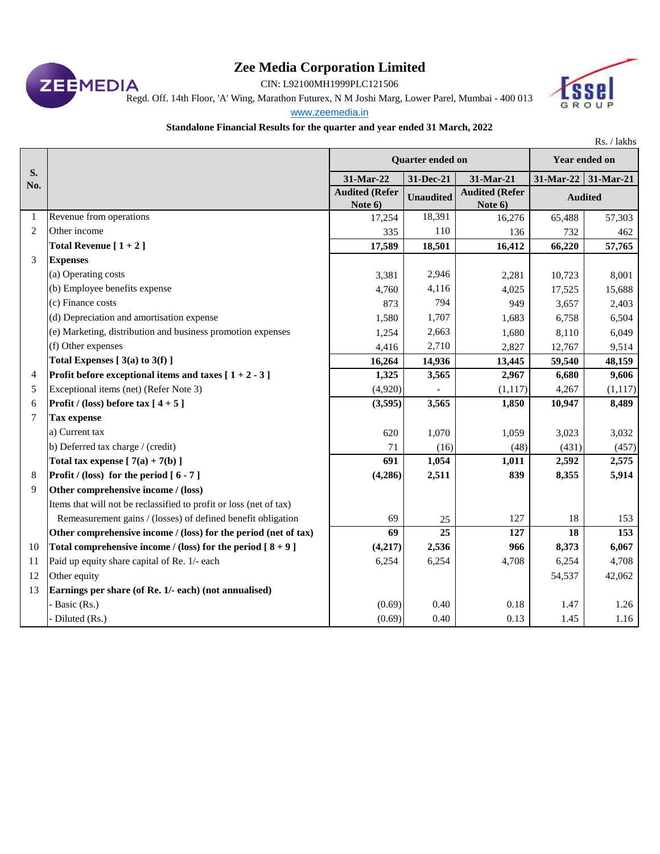

CIN: L92100MH1999PLC121506

Regd. Off. 14th Floor, 'A' Wing, Marathon Futurex, N M Joshi Marg, Lower Parel, Mumbai - 400 013

[w](http://www.zeenews.india.com/)ww.zeemedia.in

# **Standalone Financial Results for the quarter and year ended 31 March, 2022**

Rs. / lakhs

|                |                                                                    | Quarter ended on                 |                  | Year ended on                    |                |           |
|----------------|--------------------------------------------------------------------|----------------------------------|------------------|----------------------------------|----------------|-----------|
| S.<br>No.      |                                                                    | 31-Mar-22                        | 31-Dec-21        | 31-Mar-21                        | 31-Mar-22      | 31-Mar-21 |
|                |                                                                    | <b>Audited (Refer</b><br>Note 6) | <b>Unaudited</b> | <b>Audited (Refer</b><br>Note 6) | <b>Audited</b> |           |
| 1              | Revenue from operations                                            | 17,254                           | 18,391           | 16,276                           | 65,488         | 57,303    |
| $\overline{2}$ | Other income                                                       | 335                              | 110              | 136                              | 732            | 462       |
|                | Total Revenue $[1+2]$                                              | 17,589                           | 18,501           | 16,412                           | 66,220         | 57,765    |
| 3              | <b>Expenses</b>                                                    |                                  |                  |                                  |                |           |
|                | (a) Operating costs                                                | 3,381                            | 2,946            | 2,281                            | 10,723         | 8,001     |
|                | (b) Employee benefits expense                                      | 4,760                            | 4,116            | 4,025                            | 17,525         | 15,688    |
|                | (c) Finance costs                                                  | 873                              | 794              | 949                              | 3,657          | 2,403     |
|                | (d) Depreciation and amortisation expense                          | 1,580                            | 1,707            | 1,683                            | 6,758          | 6,504     |
|                | (e) Marketing, distribution and business promotion expenses        | 1,254                            | 2,663            | 1,680                            | 8,110          | 6,049     |
|                | (f) Other expenses                                                 | 4,416                            | 2,710            | 2,827                            | 12,767         | 9,514     |
|                | Total Expenses $[3(a)$ to $3(f)$ ]                                 | 16,264                           | 14,936           | 13,445                           | 59,540         | 48,159    |
| $\overline{4}$ | Profit before exceptional items and taxes $[1+2-3]$                | 1,325                            | 3,565            | 2,967                            | 6,680          | 9,606     |
| 5              | Exceptional items (net) (Refer Note 3)                             | (4,920)                          |                  | (1, 117)                         | 4,267          | (1, 117)  |
| 6              | Profit / (loss) before tax $[4+5]$                                 | (3,595)                          | 3,565            | 1,850                            | 10,947         | 8,489     |
| 7              | <b>Tax expense</b>                                                 |                                  |                  |                                  |                |           |
|                | a) Current tax                                                     | 620                              | 1,070            | 1,059                            | 3,023          | 3,032     |
|                | b) Deferred tax charge / (credit)                                  | 71                               | (16)             | (48)                             | (431)          | (457)     |
|                | Total tax expense $[7(a) + 7(b)]$                                  | 691                              | 1,054            | 1,011                            | 2,592          | 2,575     |
| 8              | Profit / (loss) for the period $[6 - 7]$                           | (4,286)                          | 2,511            | 839                              | 8,355          | 5,914     |
| $\mathbf Q$    | Other comprehensive income / (loss)                                |                                  |                  |                                  |                |           |
|                | Items that will not be reclassified to profit or loss (net of tax) |                                  |                  |                                  |                |           |
|                | Remeasurement gains / (losses) of defined benefit obligation       | 69                               | 25               | 127                              | 18             | 153       |
|                | Other comprehensive income / (loss) for the period (net of tax)    | 69                               | 25               | 127                              | 18             | 153       |
| 10             | Total comprehensive income / (loss) for the period $[8+9]$         | (4,217)                          | 2,536            | 966                              | 8,373          | 6,067     |
| 11             | Paid up equity share capital of Re. 1/- each                       | 6,254                            | 6,254            | 4,708                            | 6,254          | 4,708     |
| 12             | Other equity                                                       |                                  |                  |                                  | 54,537         | 42,062    |
| 13             | Earnings per share (of Re. 1/- each) (not annualised)              |                                  |                  |                                  |                |           |
|                | - Basic (Rs.)                                                      | (0.69)                           | 0.40             | 0.18                             | 1.47           | 1.26      |
|                | Diluted (Rs.)                                                      | (0.69)                           | 0.40             | 0.13                             | 1.45           | 1.16      |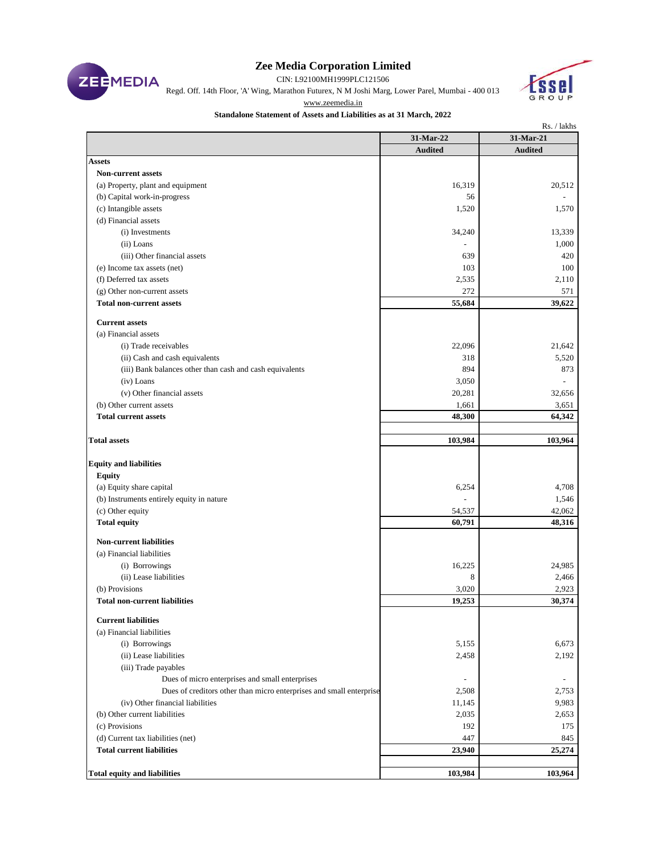

CIN: L92100MH1999PLC121506

Regd. Off. 14th Floor, 'A' Wing, Marathon Futurex, N M Joshi Marg, Lower Parel, Mumbai - 400 013

[www.zeemedia.in](http://www.zeenews.india.com/)



### **Standalone Statement of Assets and Liabilities as at 31 March, 2022**

|                                                                     | Rs. / lakhs    |                          |  |  |
|---------------------------------------------------------------------|----------------|--------------------------|--|--|
|                                                                     | 31-Mar-22      | 31-Mar-21                |  |  |
|                                                                     | <b>Audited</b> | <b>Audited</b>           |  |  |
| <b>Assets</b>                                                       |                |                          |  |  |
| <b>Non-current assets</b>                                           |                |                          |  |  |
| (a) Property, plant and equipment                                   | 16,319         | 20,512                   |  |  |
| (b) Capital work-in-progress                                        | 56             |                          |  |  |
| (c) Intangible assets                                               | 1,520          | 1,570                    |  |  |
| (d) Financial assets                                                |                |                          |  |  |
| (i) Investments                                                     | 34,240         | 13,339                   |  |  |
| (ii) Loans                                                          |                | 1,000                    |  |  |
| (iii) Other financial assets                                        | 639            | 420                      |  |  |
| (e) Income tax assets (net)                                         | 103            | 100                      |  |  |
| (f) Deferred tax assets                                             | 2,535          | 2,110                    |  |  |
| (g) Other non-current assets                                        | 272            | 571                      |  |  |
| <b>Total non-current assets</b>                                     | 55,684         | 39,622                   |  |  |
|                                                                     |                |                          |  |  |
| <b>Current assets</b>                                               |                |                          |  |  |
| (a) Financial assets                                                |                |                          |  |  |
| (i) Trade receivables                                               | 22,096         | 21,642                   |  |  |
| (ii) Cash and cash equivalents                                      | 318            | 5,520                    |  |  |
| (iii) Bank balances other than cash and cash equivalents            | 894            | 873                      |  |  |
| (iv) Loans                                                          | 3,050          |                          |  |  |
| (v) Other financial assets                                          | 20,281         | 32,656                   |  |  |
| (b) Other current assets                                            | 1,661          | 3,651                    |  |  |
| <b>Total current assets</b>                                         | 48,300         | 64,342                   |  |  |
|                                                                     |                |                          |  |  |
| <b>Total assets</b>                                                 | 103,984        | 103,964                  |  |  |
|                                                                     |                |                          |  |  |
| <b>Equity and liabilities</b>                                       |                |                          |  |  |
| <b>Equity</b>                                                       |                |                          |  |  |
| (a) Equity share capital                                            | 6,254          | 4,708                    |  |  |
| (b) Instruments entirely equity in nature                           |                | 1,546                    |  |  |
| (c) Other equity                                                    | 54,537         | 42,062                   |  |  |
| <b>Total equity</b>                                                 | 60,791         | 48,316                   |  |  |
| <b>Non-current liabilities</b>                                      |                |                          |  |  |
| (a) Financial liabilities                                           |                |                          |  |  |
| (i) Borrowings                                                      | 16,225         | 24,985                   |  |  |
| (ii) Lease liabilities                                              | 8              | 2,466                    |  |  |
| (b) Provisions                                                      | 3,020          | 2,923                    |  |  |
| <b>Total non-current liabilities</b>                                | 19,253         | 30,374                   |  |  |
|                                                                     |                |                          |  |  |
| <b>Current liabilities</b>                                          |                |                          |  |  |
| (a) Financial liabilities                                           |                |                          |  |  |
| (i) Borrowings                                                      | 5,155          | 6,673                    |  |  |
| (ii) Lease liabilities                                              | 2,458          | 2,192                    |  |  |
| (iii) Trade payables                                                |                |                          |  |  |
| Dues of micro enterprises and small enterprises                     |                | $\overline{\phantom{a}}$ |  |  |
| Dues of creditors other than micro enterprises and small enterprise | 2,508          | 2,753                    |  |  |
| (iv) Other financial liabilities                                    | 11,145         | 9,983                    |  |  |
| (b) Other current liabilities                                       | 2,035          | 2,653                    |  |  |
| (c) Provisions                                                      | 192            | 175                      |  |  |
| (d) Current tax liabilities (net)                                   | 447            | 845                      |  |  |
| <b>Total current liabilities</b>                                    | 23,940         | 25,274                   |  |  |
|                                                                     |                |                          |  |  |
| <b>Total equity and liabilities</b>                                 | 103,984        | 103,964                  |  |  |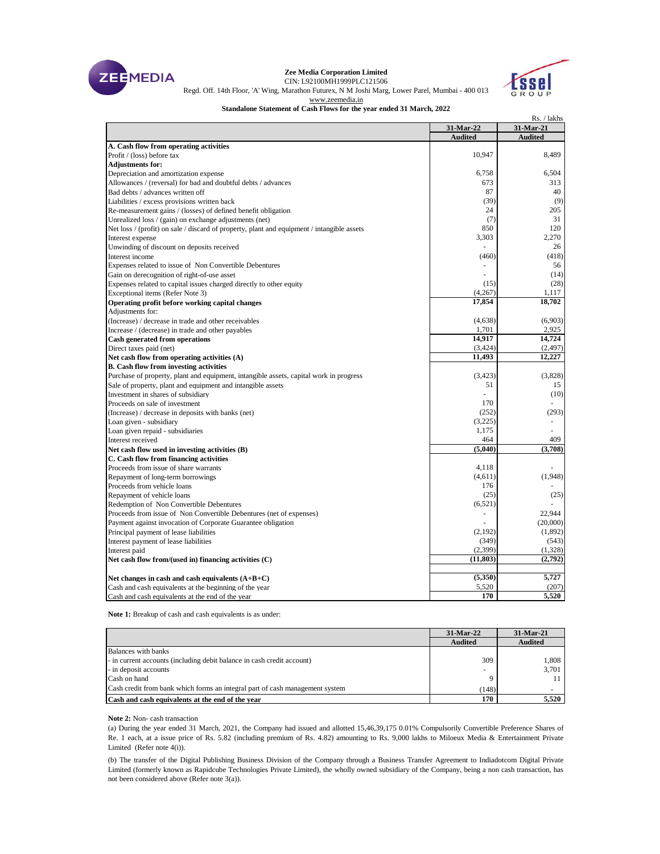

#### **Zee Media Corporation Limited** CIN: L92100MH1999PLC121506

Regd. Off. 14th Floor, 'A' Wing, Marathon Futurex, N M Joshi Marg, Lower Parel, Mumbai - 400 013

[www.zeemedia.in](http://www.zeenews.india.com/)



**Standalone Statement of Cash Flows for the year ended 31 March, 2022**

|                                                                                            |                | Rs. / lakhs    |
|--------------------------------------------------------------------------------------------|----------------|----------------|
|                                                                                            | 31-Mar-22      | 31-Mar-21      |
|                                                                                            | <b>Audited</b> | <b>Audited</b> |
| A. Cash flow from operating activities                                                     |                |                |
| Profit / (loss) before tax                                                                 | 10,947         | 8,489          |
| <b>Adjustments for:</b>                                                                    |                |                |
| Depreciation and amortization expense                                                      | 6,758          | 6,504          |
| Allowances / (reversal) for bad and doubtful debts / advances                              | 673            | 313            |
| Bad debts / advances written off                                                           | 87             | 40             |
| Liabilities / excess provisions written back                                               | (39)           | (9)            |
| Re-measurement gains / (losses) of defined benefit obligation                              | 24             | 205            |
| Unrealized loss / (gain) on exchange adjustments (net)                                     | (7)            | 31             |
| Net loss / (profit) on sale / discard of property, plant and equipment / intangible assets | 850            | 120            |
| Interest expense                                                                           | 3,303          | 2,270          |
| Unwinding of discount on deposits received                                                 |                | 26             |
| Interest income                                                                            | (460)          | (418)          |
| Expenses related to issue of Non Convertible Debentures                                    |                | 56             |
| Gain on derecognition of right-of-use asset                                                |                | (14)           |
| Expenses related to capital issues charged directly to other equity                        | (15)           | (28)           |
| Exceptional items (Refer Note 3)                                                           | (4,267)        | 1,117          |
| Operating profit before working capital changes                                            | 17,854         | 18,702         |
| Adjustments for:                                                                           |                |                |
| (Increase) / decrease in trade and other receivables                                       | (4,638)        | (6,903)        |
| Increase / (decrease) in trade and other payables                                          | 1,701          | 2,925          |
| <b>Cash generated from operations</b>                                                      | 14,917         | 14,724         |
| Direct taxes paid (net)                                                                    | (3, 424)       | (2, 497)       |
| Net cash flow from operating activities (A)                                                | 11,493         | 12,227         |
| <b>B.</b> Cash flow from investing activities                                              |                |                |
| Purchase of property, plant and equipment, intangible assets, capital work in progress     | (3, 423)       | (3,828)        |
| Sale of property, plant and equipment and intangible assets                                | 51             | 15             |
| Investment in shares of subsidiary                                                         |                | (10)           |
| Proceeds on sale of investment                                                             | 170            |                |
| (Increase) / decrease in deposits with banks (net)                                         | (252)          | (293)          |
| Loan given - subsidiary                                                                    | (3,225)        |                |
| Loan given repaid - subsidiaries                                                           | 1,175          |                |
| Interest received                                                                          | 464            | 409            |
| Net cash flow used in investing activities (B)                                             | (5,040)        | (3,708)        |
| C. Cash flow from financing activities                                                     |                |                |
| Proceeds from issue of share warrants                                                      | 4.118          |                |
| Repayment of long-term borrowings                                                          | (4, 611)       | (1,948)        |
| Proceeds from vehicle loans                                                                | 176            |                |
| Repayment of vehicle loans                                                                 | (25)           | (25)           |
| Redemption of Non Convertible Debentures                                                   | (6,521)        |                |
| Proceeds from issue of Non Convertible Debentures (net of expenses)                        |                | 22.944         |
| Payment against invocation of Corporate Guarantee obligation                               |                | (20,000)       |
| Principal payment of lease liabilities                                                     | (2,192)        | (1,892)        |
| Interest payment of lease liabilities                                                      | (349)          | (543)          |
| Interest paid                                                                              | (2, 399)       | (1, 328)       |
| Net cash flow from/(used in) financing activities (C)                                      | (11, 803)      | (2,792)        |
|                                                                                            |                |                |
| Net changes in cash and cash equivalents $(A+B+C)$                                         | (5,350)        | 5,727          |
| Cash and cash equivalents at the beginning of the year                                     | 5,520          | (207)          |
| Cash and cash equivalents at the end of the year                                           | 170            | 5,520          |

Note 1: Breakup of cash and cash equivalents is as under:

|                                                                              | 31-Mar-22      | 31-Mar-21                |
|------------------------------------------------------------------------------|----------------|--------------------------|
|                                                                              | <b>Audited</b> | <b>Audited</b>           |
| <b>Balances</b> with banks                                                   |                |                          |
| - in current accounts (including debit balance in cash credit account)       | 309            | 1,808                    |
| - in deposit accounts                                                        | ۰              | 3,701                    |
| Cash on hand                                                                 |                |                          |
| Cash credit from bank which forms an integral part of cash management system | (148)          | $\overline{\phantom{a}}$ |
| Cash and cash equivalents at the end of the year                             | 170            | 5,520                    |

**Note 2:** Non- cash transaction

(a) During the year ended 31 March, 2021, the Company had issued and allotted 15,46,39,175 0.01% Compulsorily Convertible Preference Shares of Re. 1 each, at a issue price of Rs. 5.82 (including premium of Rs. 4.82) amounting to Rs. 9,000 lakhs to Miloeux Media & Entertainment Private Limited (Refer note 4(i)).

(b) The transfer of the Digital Publishing Business Division of the Company through a Business Transfer Agreement to Indiadotcom Digital Private Limited (formerly known as Rapidcube Technologies Private Limited), the wholly owned subsidiary of the Company, being a non cash transaction, has not been considered above (Refer note 3(a)).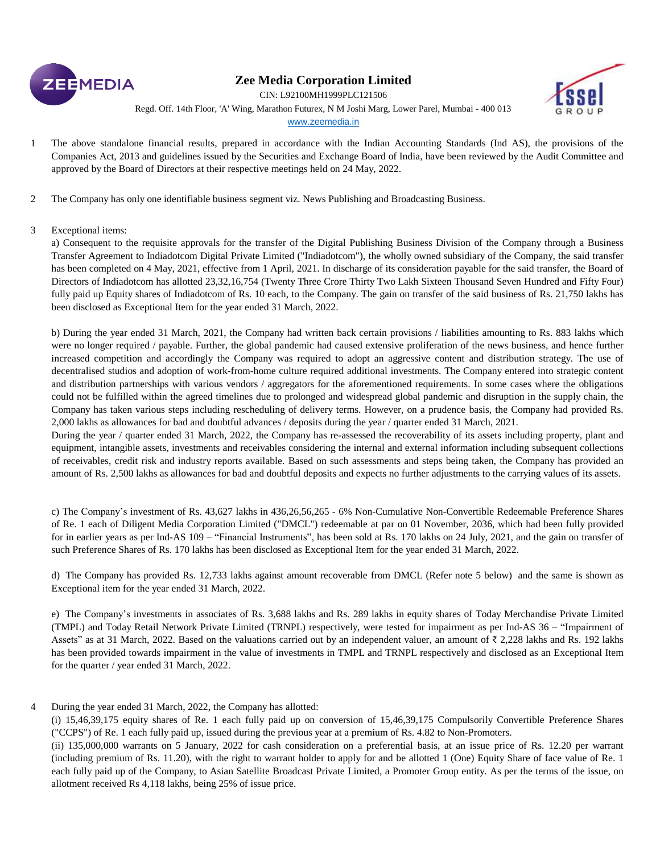



CIN: L92100MH1999PLC121506 Regd. Off. 14th Floor, 'A' Wing, Marathon Futurex, N M Joshi Marg, Lower Parel, Mumbai - 400 013

#### [w](http://www.zeenews.india.com/)ww.zeemedia.in

- 1 The above standalone financial results, prepared in accordance with the Indian Accounting Standards (Ind AS), the provisions of the Companies Act, 2013 and guidelines issued by the Securities and Exchange Board of India, have been reviewed by the Audit Committee and approved by the Board of Directors at their respective meetings held on 24 May, 2022.
- 2 The Company has only one identifiable business segment viz. News Publishing and Broadcasting Business.

#### 3 Exceptional items:

a) Consequent to the requisite approvals for the transfer of the Digital Publishing Business Division of the Company through a Business Transfer Agreement to Indiadotcom Digital Private Limited ("Indiadotcom"), the wholly owned subsidiary of the Company, the said transfer has been completed on 4 May, 2021, effective from 1 April, 2021. In discharge of its consideration payable for the said transfer, the Board of Directors of Indiadotcom has allotted 23,32,16,754 (Twenty Three Crore Thirty Two Lakh Sixteen Thousand Seven Hundred and Fifty Four) fully paid up Equity shares of Indiadotcom of Rs. 10 each, to the Company. The gain on transfer of the said business of Rs. 21,750 lakhs has been disclosed as Exceptional Item for the year ended 31 March, 2022.

b) During the year ended 31 March, 2021, the Company had written back certain provisions / liabilities amounting to Rs. 883 lakhs which were no longer required / payable. Further, the global pandemic had caused extensive proliferation of the news business, and hence further increased competition and accordingly the Company was required to adopt an aggressive content and distribution strategy. The use of decentralised studios and adoption of work-from-home culture required additional investments. The Company entered into strategic content and distribution partnerships with various vendors / aggregators for the aforementioned requirements. In some cases where the obligations could not be fulfilled within the agreed timelines due to prolonged and widespread global pandemic and disruption in the supply chain, the Company has taken various steps including rescheduling of delivery terms. However, on a prudence basis, the Company had provided Rs. 2,000 lakhs as allowances for bad and doubtful advances / deposits during the year / quarter ended 31 March, 2021.

During the year / quarter ended 31 March, 2022, the Company has re-assessed the recoverability of its assets including property, plant and equipment, intangible assets, investments and receivables considering the internal and external information including subsequent collections of receivables, credit risk and industry reports available. Based on such assessments and steps being taken, the Company has provided an amount of Rs. 2,500 lakhs as allowances for bad and doubtful deposits and expects no further adjustments to the carrying values of its assets.

c) The Company's investment of Rs. 43,627 lakhs in 436,26,56,265 - 6% Non-Cumulative Non-Convertible Redeemable Preference Shares of Re. 1 each of Diligent Media Corporation Limited ("DMCL") redeemable at par on 01 November, 2036, which had been fully provided for in earlier years as per Ind-AS 109 – "Financial Instruments", has been sold at Rs. 170 lakhs on 24 July, 2021, and the gain on transfer of such Preference Shares of Rs. 170 lakhs has been disclosed as Exceptional Item for the year ended 31 March, 2022.

d) The Company has provided Rs. 12,733 lakhs against amount recoverable from DMCL (Refer note 5 below) and the same is shown as Exceptional item for the year ended 31 March, 2022.

e) The Company's investments in associates of Rs. 3,688 lakhs and Rs. 289 lakhs in equity shares of Today Merchandise Private Limited (TMPL) and Today Retail Network Private Limited (TRNPL) respectively, were tested for impairment as per Ind-AS 36 – "Impairment of Assets" as at 31 March, 2022. Based on the valuations carried out by an independent valuer, an amount of ₹ 2,228 lakhs and Rs. 192 lakhs has been provided towards impairment in the value of investments in TMPL and TRNPL respectively and disclosed as an Exceptional Item for the quarter / year ended 31 March, 2022.

4 During the year ended 31 March, 2022, the Company has allotted:

(i) 15,46,39,175 equity shares of Re. 1 each fully paid up on conversion of 15,46,39,175 Compulsorily Convertible Preference Shares ("CCPS") of Re. 1 each fully paid up, issued during the previous year at a premium of Rs. 4.82 to Non-Promoters.

(ii) 135,000,000 warrants on 5 January, 2022 for cash consideration on a preferential basis, at an issue price of Rs. 12.20 per warrant (including premium of Rs. 11.20), with the right to warrant holder to apply for and be allotted 1 (One) Equity Share of face value of Re. 1 each fully paid up of the Company, to Asian Satellite Broadcast Private Limited, a Promoter Group entity. As per the terms of the issue, on allotment received Rs 4,118 lakhs, being 25% of issue price.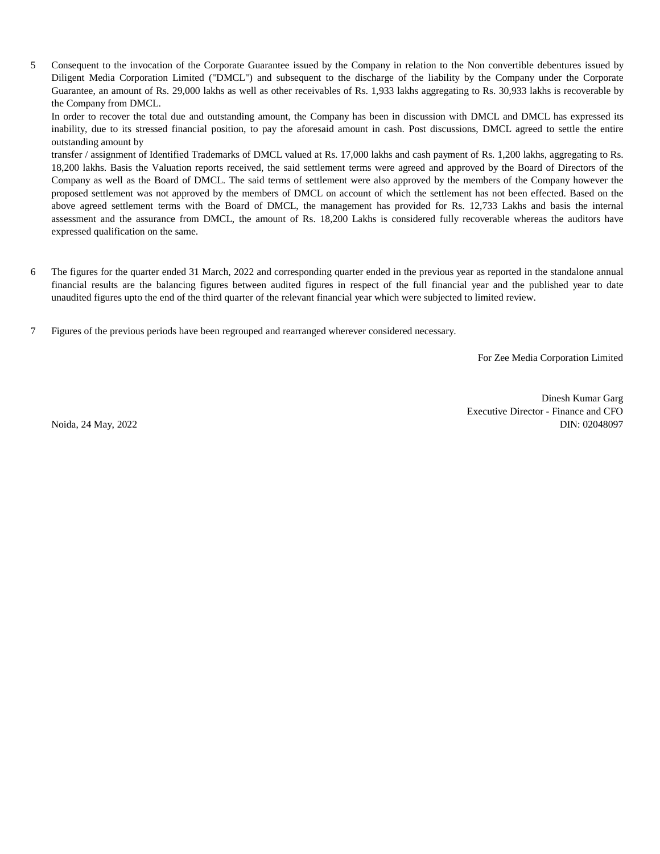5 Consequent to the invocation of the Corporate Guarantee issued by the Company in relation to the Non convertible debentures issued by Diligent Media Corporation Limited ("DMCL") and subsequent to the discharge of the liability by the Company under the Corporate Guarantee, an amount of Rs. 29,000 lakhs as well as other receivables of Rs. 1,933 lakhs aggregating to Rs. 30,933 lakhs is recoverable by the Company from DMCL.

In order to recover the total due and outstanding amount, the Company has been in discussion with DMCL and DMCL has expressed its inability, due to its stressed financial position, to pay the aforesaid amount in cash. Post discussions, DMCL agreed to settle the entire outstanding amount by

transfer / assignment of Identified Trademarks of DMCL valued at Rs. 17,000 lakhs and cash payment of Rs. 1,200 lakhs, aggregating to Rs. 18,200 lakhs. Basis the Valuation reports received, the said settlement terms were agreed and approved by the Board of Directors of the Company as well as the Board of DMCL. The said terms of settlement were also approved by the members of the Company however the proposed settlement was not approved by the members of DMCL on account of which the settlement has not been effected. Based on the above agreed settlement terms with the Board of DMCL, the management has provided for Rs. 12,733 Lakhs and basis the internal assessment and the assurance from DMCL, the amount of Rs. 18,200 Lakhs is considered fully recoverable whereas the auditors have expressed qualification on the same.

- 6 The figures for the quarter ended 31 March, 2022 and corresponding quarter ended in the previous year as reported in the standalone annual financial results are the balancing figures between audited figures in respect of the full financial year and the published year to date unaudited figures upto the end of the third quarter of the relevant financial year which were subjected to limited review.
- 7 Figures of the previous periods have been regrouped and rearranged wherever considered necessary.

For Zee Media Corporation Limited

Dinesh Kumar Garg Executive Director - Finance and CFO Noida, 24 May, 2022 DIN: 02048097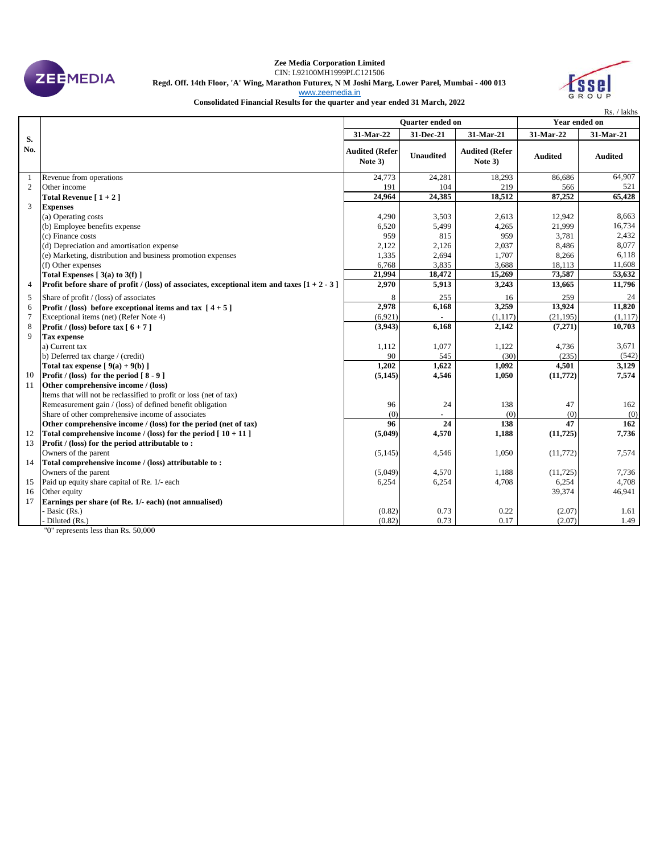

#### **Zee Media Corporation Limited** CIN: L92100MH1999PLC121506

**Regd. Off. 14th Floor, 'A' Wing, Marathon Futurex, N M Joshi Marg, Lower Parel, Mumbai - 400 013**

www.zeemedia.in



**Consolidated Financial Results for the quarter and year ended 31 March, 2022**

|        |                                                                                                |                                  |                  |                                  |                | Rs. / lakhs    |  |
|--------|------------------------------------------------------------------------------------------------|----------------------------------|------------------|----------------------------------|----------------|----------------|--|
|        |                                                                                                | <b>Ouarter</b> ended on          |                  |                                  | Year ended on  |                |  |
| S.     |                                                                                                | 31-Mar-22                        | 31-Dec-21        | 31-Mar-21                        | 31-Mar-22      | 31-Mar-21      |  |
| No.    |                                                                                                | <b>Audited (Refer</b><br>Note 3) | <b>Unaudited</b> | <b>Audited (Refer</b><br>Note 3) | <b>Audited</b> | <b>Audited</b> |  |
| 1      | Revenue from operations                                                                        | 24,773                           | 24,281           | 18,293                           | 86,686         | 64,907         |  |
| 2      | Other income                                                                                   | 191                              | 104              | 219                              | 566            | 521            |  |
|        | Total Revenue $[1+2]$                                                                          | 24,964                           | 24,385           | 18,512                           | 87,252         | 65,428         |  |
| 3      | <b>Expenses</b>                                                                                |                                  |                  |                                  |                |                |  |
|        | (a) Operating costs                                                                            | 4,290                            | 3,503            | 2,613                            | 12,942         | 8,663          |  |
|        | (b) Employee benefits expense                                                                  | 6,520                            | 5,499            | 4,265                            | 21,999         | 16,734         |  |
|        | (c) Finance costs                                                                              | 959                              | 815              | 959                              | 3,781          | 2,432          |  |
|        | (d) Depreciation and amortisation expense                                                      | 2,122                            | 2,126            | 2,037                            | 8,486          | 8,077          |  |
|        | (e) Marketing, distribution and business promotion expenses                                    | 1,335                            | 2,694            | 1,707                            | 8,266          | 6,118          |  |
|        | (f) Other expenses                                                                             | 6,768                            | 3,835            | 3,688                            | 18,113         | 11,608         |  |
|        | Total Expenses $[3(a)$ to $3(f)$ ]                                                             | 21,994                           | 18,472           | 15,269                           | 73,587         | 53,632         |  |
| 4      | Profit before share of profit / (loss) of associates, exceptional item and taxes $[1 + 2 - 3]$ | 2,970                            | 5,913            | 3,243                            | 13,665         | 11,796         |  |
| 5      | Share of profit / (loss) of associates                                                         | 8                                | 255              | 16                               | 259            | 24             |  |
| 6      | Profit / (loss) before exceptional items and tax $[4+5]$                                       | 2,978                            | 6,168            | 3,259                            | 13,924         | 11.820         |  |
| $\tau$ | Exceptional items (net) (Refer Note 4)                                                         | (6,921)                          |                  | (1, 117)                         | (21, 195)      | (1, 117)       |  |
| 8      | Profit / (loss) before tax $[6 + 7]$                                                           | (3,943)                          | 6,168            | 2,142                            | (7,271)        | 10,703         |  |
| 9      | Tax expense                                                                                    |                                  |                  |                                  |                |                |  |
|        | a) Current tax                                                                                 | 1,112                            | 1,077            | 1,122                            | 4,736          | 3,671          |  |
|        | b) Deferred tax charge / (credit)                                                              | 90                               | 545              | (30)                             | (235)          | (542)          |  |
|        | Total tax expense $[9(a) + 9(b)]$                                                              | 1,202                            | 1,622            | 1,092                            | 4,501          | 3,129          |  |
| 10     | Profit / (loss) for the period $[8 - 9]$                                                       | (5, 145)                         | 4,546            | 1,050                            | (11,772)       | 7,574          |  |
| 11     | Other comprehensive income / (loss)                                                            |                                  |                  |                                  |                |                |  |
|        | Items that will not be reclassified to profit or loss (net of tax)                             |                                  |                  |                                  |                |                |  |
|        | Remeasurement gain / (loss) of defined benefit obligation                                      | 96                               | 24               | 138                              | 47             | 162            |  |
|        | Share of other comprehensive income of associates                                              | (0)                              |                  | (0)                              | (0)            | (0)            |  |
|        | Other comprehensive income / (loss) for the period (net of tax)                                | 96                               | 24               | 138                              | 47             | 162            |  |
| 12     | Total comprehensive income / (loss) for the period $[10 + 11]$                                 | (5,049)                          | 4,570            | 1,188                            | (11, 725)      | 7,736          |  |
| 13     | Profit / (loss) for the period attributable to:                                                |                                  |                  |                                  |                |                |  |
|        | Owners of the parent                                                                           | (5, 145)                         | 4,546            | 1,050                            | (11,772)       | 7,574          |  |
| 14     | Total comprehensive income / (loss) attributable to:                                           |                                  |                  |                                  |                |                |  |
|        | Owners of the parent                                                                           | (5,049)                          | 4,570            | 1,188                            | (11, 725)      | 7,736          |  |
| 15     | Paid up equity share capital of Re. 1/- each                                                   | 6,254                            | 6,254            | 4,708                            | 6,254          | 4,708          |  |
| 16     | Other equity                                                                                   |                                  |                  |                                  | 39,374         | 46,941         |  |
| 17     | Earnings per share (of Re. 1/- each) (not annualised)                                          |                                  |                  |                                  |                |                |  |
|        | Basic (Rs.)                                                                                    | (0.82)                           | 0.73             | 0.22                             | (2.07)         | 1.61           |  |
|        | Diluted (Rs.)                                                                                  | (0.82)                           | 0.73             | 0.17                             | (2.07)         | 1.49           |  |

"0" represents less than Rs. 50,000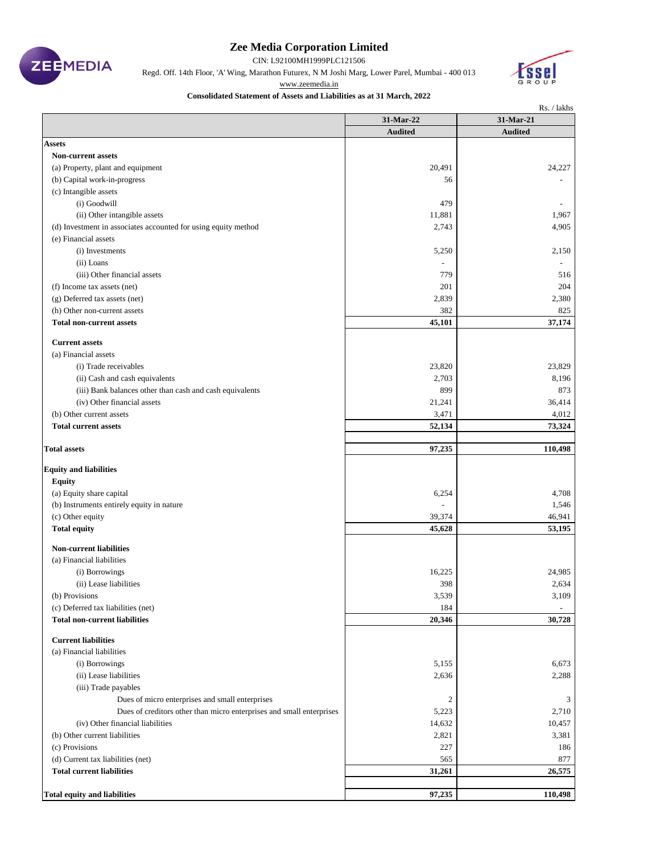

CIN: L92100MH1999PLC121506

Regd. Off. 14th Floor, 'A' Wing, Marathon Futurex, N M Joshi Marg, Lower Parel, Mumbai - 400 013



[www.zeemedia.in](http://www.zeenews.india.com/)

### **Consolidated Statement of Assets and Liabilities as at 31 March, 2022**

|                                                                      |                  | Rs. / lakhs    |
|----------------------------------------------------------------------|------------------|----------------|
|                                                                      | 31-Mar-22        | 31-Mar-21      |
|                                                                      | <b>Audited</b>   | <b>Audited</b> |
| <b>Assets</b>                                                        |                  |                |
| <b>Non-current assets</b>                                            |                  |                |
| (a) Property, plant and equipment                                    | 20,491           | 24,227         |
| (b) Capital work-in-progress                                         | 56               |                |
| (c) Intangible assets                                                |                  |                |
| (i) Goodwill                                                         | 479              |                |
| (ii) Other intangible assets                                         | 11,881           | 1,967          |
| (d) Investment in associates accounted for using equity method       | 2,743            | 4,905          |
| (e) Financial assets                                                 |                  |                |
| (i) Investments                                                      | 5,250            | 2,150          |
| (ii) Loans                                                           | $\overline{a}$   |                |
| (iii) Other financial assets                                         | 779              | 516            |
| (f) Income tax assets (net)                                          | 201              | 204            |
| (g) Deferred tax assets (net)                                        | 2,839            | 2,380          |
| (h) Other non-current assets                                         | 382              | 825            |
| <b>Total non-current assets</b>                                      | 45,101           | 37,174         |
| <b>Current assets</b>                                                |                  |                |
| (a) Financial assets                                                 |                  |                |
| (i) Trade receivables                                                | 23,820           | 23,829         |
| (ii) Cash and cash equivalents                                       | 2,703            | 8,196          |
| (iii) Bank balances other than cash and cash equivalents             | 899              | 873            |
| (iv) Other financial assets                                          | 21,241           | 36,414         |
| (b) Other current assets                                             | 3,471            | 4,012          |
| <b>Total current assets</b>                                          | 52,134           | 73,324         |
|                                                                      |                  |                |
| <b>Total assets</b>                                                  | 97,235           | 110,498        |
| <b>Equity and liabilities</b>                                        |                  |                |
| <b>Equity</b>                                                        |                  |                |
| (a) Equity share capital                                             | 6,254            | 4,708          |
| (b) Instruments entirely equity in nature                            |                  | 1,546          |
| (c) Other equity                                                     | 39,374           | 46,941         |
| <b>Total equity</b>                                                  | 45,628           | 53,195         |
|                                                                      |                  |                |
| <b>Non-current liabilities</b>                                       |                  |                |
| (a) Financial liabilities                                            |                  |                |
| (i) Borrowings                                                       | 16,225           | 24,985         |
| (ii) Lease liabilities                                               | 398              | 2,634          |
| (b) Provisions                                                       | 3,539            | 3,109          |
| (c) Deferred tax liabilities (net)                                   | 184              |                |
| <b>Total non-current liabilities</b>                                 | 20,346           | 30,728         |
| <b>Current liabilities</b>                                           |                  |                |
| (a) Financial liabilities                                            |                  |                |
| (i) Borrowings                                                       | 5,155            | 6,673          |
| (ii) Lease liabilities                                               | 2,636            | 2,288          |
| (iii) Trade payables                                                 |                  |                |
| Dues of micro enterprises and small enterprises                      | $\boldsymbol{2}$ | 3              |
| Dues of creditors other than micro enterprises and small enterprises | 5,223            | 2,710          |
| (iv) Other financial liabilities                                     | 14,632           | 10,457         |
| (b) Other current liabilities                                        | 2,821            | 3,381          |
| (c) Provisions                                                       | 227              | 186            |
| (d) Current tax liabilities (net)                                    | 565              | 877            |
| <b>Total current liabilities</b>                                     | 31,261           | 26,575         |
|                                                                      |                  |                |
| <b>Total equity and liabilities</b>                                  | 97,235           | 110,498        |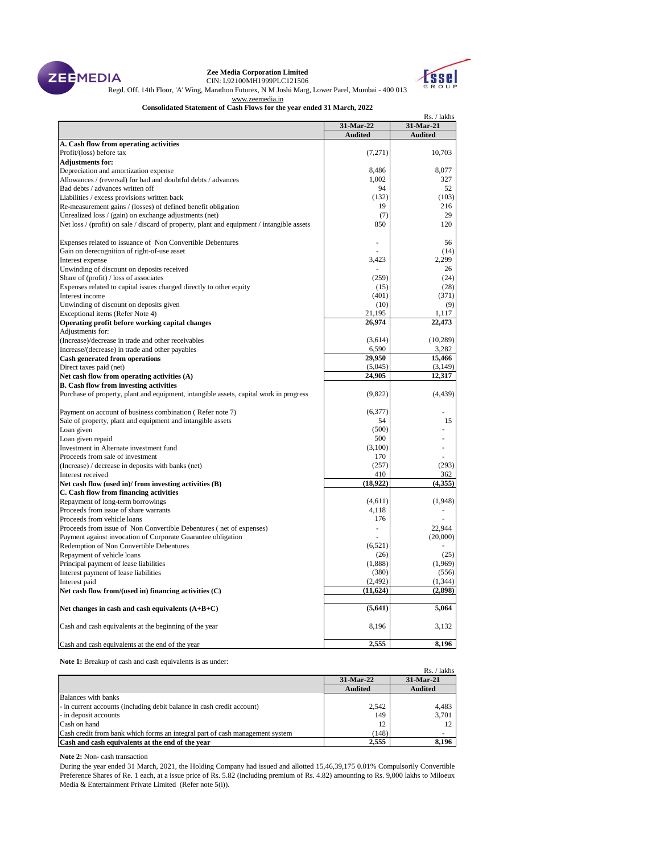

**Zee Media Corporation Limited** CIN: L92100MH1999PLC121506



Regd. Off. 14th Floor, 'A' Wing, Marathon Futurex, N M Joshi Marg, Lower Parel, Mumbai - 400 013

[www.zeemedia.in](http://www.zeenews.india.com/)

**Consolidated Statement of Cash Flows for the year ended 31 March, 2022**

| Rs. / lakhs                                                                                |                |                |
|--------------------------------------------------------------------------------------------|----------------|----------------|
|                                                                                            | 31-Mar-22      | 31-Mar-21      |
|                                                                                            | <b>Audited</b> | <b>Audited</b> |
| A. Cash flow from operating activities                                                     |                |                |
| Profit/(loss) before tax                                                                   | (7,271)        | 10,703         |
| <b>Adjustments for:</b>                                                                    |                |                |
| Depreciation and amortization expense                                                      | 8.486          | 8.077          |
| Allowances / (reversal) for bad and doubtful debts / advances                              | 1.002          | 327            |
| Bad debts / advances written off                                                           | 94             | 52             |
| Liabilities / excess provisions written back                                               | (132)          | (103)          |
| Re-measurement gains / (losses) of defined benefit obligation                              | 19             | 216            |
| Unrealized loss / (gain) on exchange adjustments (net)                                     | (7)            | 29             |
|                                                                                            | 850            | 120            |
| Net loss / (profit) on sale / discard of property, plant and equipment / intangible assets |                |                |
| Expenses related to issuance of Non Convertible Debentures                                 |                | 56             |
| Gain on derecognition of right-of-use asset                                                |                | (14)           |
| Interest expense                                                                           | 3,423          | 2,299          |
| Unwinding of discount on deposits received                                                 |                | 26             |
| Share of (profit) / loss of associates                                                     | (259)          | (24)           |
| Expenses related to capital issues charged directly to other equity                        | (15)           | (28)           |
| Interest income                                                                            | (401)          | (371)          |
| Unwinding of discount on deposits given                                                    | (10)           | (9)            |
| Exceptional items (Refer Note 4)                                                           | 21,195         | 1,117          |
|                                                                                            | 26,974         | 22,473         |
| Operating profit before working capital changes<br>Adjustments for:                        |                |                |
| (Increase)/decrease in trade and other receivables                                         | (3,614)        | (10, 289)      |
| Increase/(decrease) in trade and other payables                                            | 6,590          | 3,282          |
| <b>Cash generated from operations</b>                                                      | 29,950         | 15,466         |
| Direct taxes paid (net)                                                                    | (5,045)        | (3,149)        |
| Net cash flow from operating activities (A)                                                | 24,905         | 12,317         |
| <b>B.</b> Cash flow from investing activities                                              |                |                |
| Purchase of property, plant and equipment, intangible assets, capital work in progress     | (9,822)        | (4, 439)       |
|                                                                                            |                |                |
| Payment on account of business combination (Refer note 7)                                  | (6, 377)       |                |
| Sale of property, plant and equipment and intangible assets                                | 54             | 15             |
| Loan given                                                                                 | (500)          |                |
| Loan given repaid                                                                          | 500            |                |
| Investment in Alternate investment fund                                                    | (3,100)        |                |
| Proceeds from sale of investment                                                           | 170            |                |
| (Increase) / decrease in deposits with banks (net)                                         | (257)          | (293)          |
| Interest received                                                                          | 410            | 362            |
| Net cash flow (used in)/ from investing activities (B)                                     | (18,922)       | (4,355)        |
| C. Cash flow from financing activities                                                     |                |                |
| Repayment of long-term borrowings                                                          | (4,611)        | (1,948)        |
| Proceeds from issue of share warrants                                                      | 4,118          |                |
| Proceeds from vehicle loans                                                                | 176            |                |
| Proceeds from issue of Non Convertible Debentures (net of expenses)                        |                | 22,944         |
|                                                                                            |                | (20,000)       |
| Payment against invocation of Corporate Guarantee obligation                               |                |                |
| Redemption of Non Convertible Debentures                                                   | (6,521)        |                |
| Repayment of vehicle loans                                                                 | (26)           | (25)           |
| Principal payment of lease liabilities                                                     | (1,888)        | (1,969)        |
| Interest payment of lease liabilities                                                      | (380)          | (556)          |
| Interest paid                                                                              | (2, 492)       | (1, 344)       |
| Net cash flow from/(used in) financing activities (C)                                      | (11,624)       | (2,898)        |
| Net changes in cash and cash equivalents $(A+B+C)$                                         | (5,641)        | 5,064          |
| Cash and cash equivalents at the beginning of the year                                     | 8,196          | 3,132          |
| Cash and cash equivalents at the end of the year                                           | 2,555          | 8.196          |

**Note 1:** Breakup of cash and cash equivalents is as under:

|                                                                              |                | Rs. / lakhs    |
|------------------------------------------------------------------------------|----------------|----------------|
|                                                                              | 31-Mar-22      | 31-Mar-21      |
|                                                                              | <b>Audited</b> | <b>Audited</b> |
| Balances with banks                                                          |                |                |
| - in current accounts (including debit balance in cash credit account)       | 2.542          | 4.483          |
| - in deposit accounts                                                        | 149            | 3,701          |
| Cash on hand                                                                 | 12             |                |
| Cash credit from bank which forms an integral part of cash management system | (148)          |                |
| Cash and cash equivalents at the end of the year                             | 2.555          | 8,196          |

**Note 2:** Non- cash transaction

During the year ended 31 March, 2021, the Holding Company had issued and allotted 15,46,39,175 0.01% Compulsorily Convertible Preference Shares of Re. 1 each, at a issue price of Rs. 5.82 (including premium of Rs. 4.82) amounting to Rs. 9,000 lakhs to Miloeux Media & Entertainment Private Limited (Refer note 5(i)).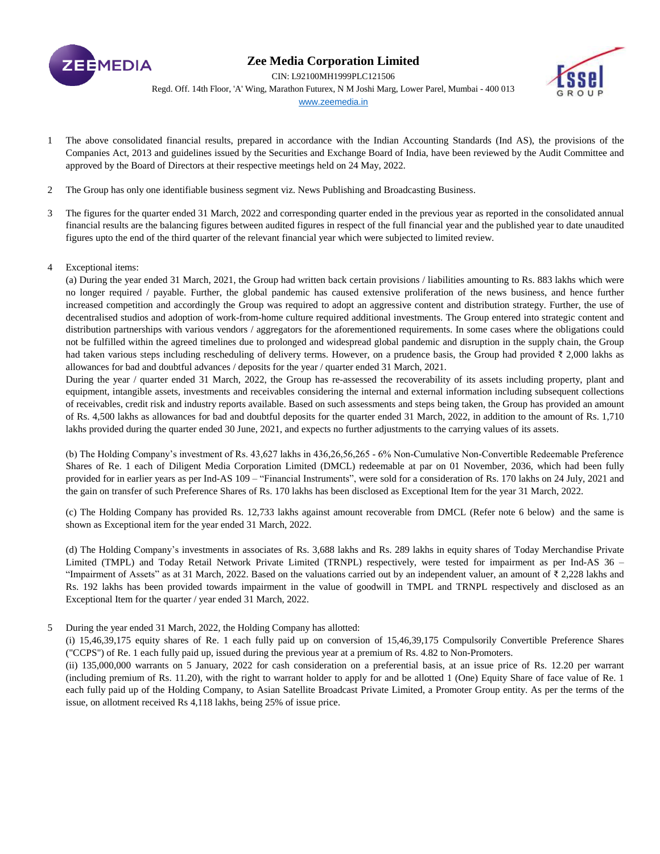

CIN: L92100MH1999PLC121506 Regd. Off. 14th Floor, 'A' Wing, Marathon Futurex, N M Joshi Marg, Lower Parel, Mumbai - 400 013

www.zeemedia.in

- 1 The above consolidated financial results, prepared in accordance with the Indian Accounting Standards (Ind AS), the provisions of the Companies Act, 2013 and guidelines issued by the Securities and Exchange Board of India, have been reviewed by the Audit Committee and approved by the Board of Directors at their respective meetings held on 24 May, 2022.
- 2 The Group has only one identifiable business segment viz. News Publishing and Broadcasting Business.
- 3 The figures for the quarter ended 31 March, 2022 and corresponding quarter ended in the previous year as reported in the consolidated annual financial results are the balancing figures between audited figures in respect of the full financial year and the published year to date unaudited figures upto the end of the third quarter of the relevant financial year which were subjected to limited review.
- 4 Exceptional items:

(a) During the year ended 31 March, 2021, the Group had written back certain provisions / liabilities amounting to Rs. 883 lakhs which were no longer required / payable. Further, the global pandemic has caused extensive proliferation of the news business, and hence further increased competition and accordingly the Group was required to adopt an aggressive content and distribution strategy. Further, the use of decentralised studios and adoption of work-from-home culture required additional investments. The Group entered into strategic content and distribution partnerships with various vendors / aggregators for the aforementioned requirements. In some cases where the obligations could not be fulfilled within the agreed timelines due to prolonged and widespread global pandemic and disruption in the supply chain, the Group had taken various steps including rescheduling of delivery terms. However, on a prudence basis, the Group had provided ₹ 2,000 lakhs as allowances for bad and doubtful advances / deposits for the year / quarter ended 31 March, 2021.

During the year / quarter ended 31 March, 2022, the Group has re-assessed the recoverability of its assets including property, plant and equipment, intangible assets, investments and receivables considering the internal and external information including subsequent collections of receivables, credit risk and industry reports available. Based on such assessments and steps being taken, the Group has provided an amount of Rs. 4,500 lakhs as allowances for bad and doubtful deposits for the quarter ended 31 March, 2022, in addition to the amount of Rs. 1,710 lakhs provided during the quarter ended 30 June, 2021, and expects no further adjustments to the carrying values of its assets.

(b) The Holding Company's investment of Rs. 43,627 lakhs in 436,26,56,265 - 6% Non-Cumulative Non-Convertible Redeemable Preference Shares of Re. 1 each of Diligent Media Corporation Limited (DMCL) redeemable at par on 01 November, 2036, which had been fully provided for in earlier years as per Ind-AS 109 – "Financial Instruments", were sold for a consideration of Rs. 170 lakhs on 24 July, 2021 and the gain on transfer of such Preference Shares of Rs. 170 lakhs has been disclosed as Exceptional Item for the year 31 March, 2022.

(c) The Holding Company has provided Rs. 12,733 lakhs against amount recoverable from DMCL (Refer note 6 below) and the same is shown as Exceptional item for the year ended 31 March, 2022.

(d) The Holding Company's investments in associates of Rs. 3,688 lakhs and Rs. 289 lakhs in equity shares of Today Merchandise Private Limited (TMPL) and Today Retail Network Private Limited (TRNPL) respectively, were tested for impairment as per Ind-AS 36 – "Impairment of Assets" as at 31 March, 2022. Based on the valuations carried out by an independent valuer, an amount of  $\bar{\tau}$  2,228 lakhs and Rs. 192 lakhs has been provided towards impairment in the value of goodwill in TMPL and TRNPL respectively and disclosed as an Exceptional Item for the quarter / year ended 31 March, 2022.

5 During the year ended 31 March, 2022, the Holding Company has allotted:

(i) 15,46,39,175 equity shares of Re. 1 each fully paid up on conversion of 15,46,39,175 Compulsorily Convertible Preference Shares ("CCPS") of Re. 1 each fully paid up, issued during the previous year at a premium of Rs. 4.82 to Non-Promoters.

(ii) 135,000,000 warrants on 5 January, 2022 for cash consideration on a preferential basis, at an issue price of Rs. 12.20 per warrant (including premium of Rs. 11.20), with the right to warrant holder to apply for and be allotted 1 (One) Equity Share of face value of Re. 1 each fully paid up of the Holding Company, to Asian Satellite Broadcast Private Limited, a Promoter Group entity. As per the terms of the issue, on allotment received Rs 4,118 lakhs, being 25% of issue price.